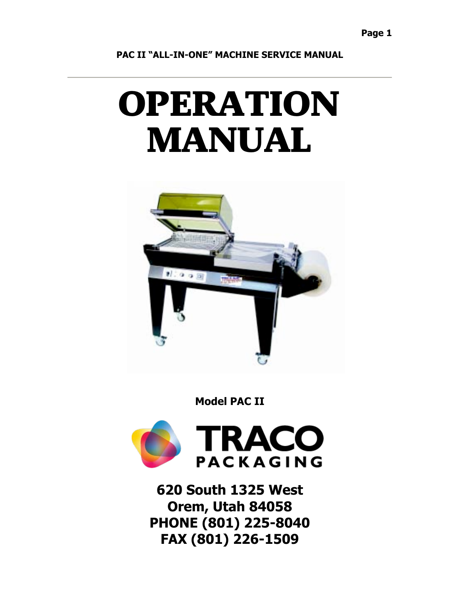# OPERATION MANUAL



**Model PAC II**



**620 South 1325 West Orem, Utah 84058 PHONE (801) 225-8040 FAX (801) 226-1509**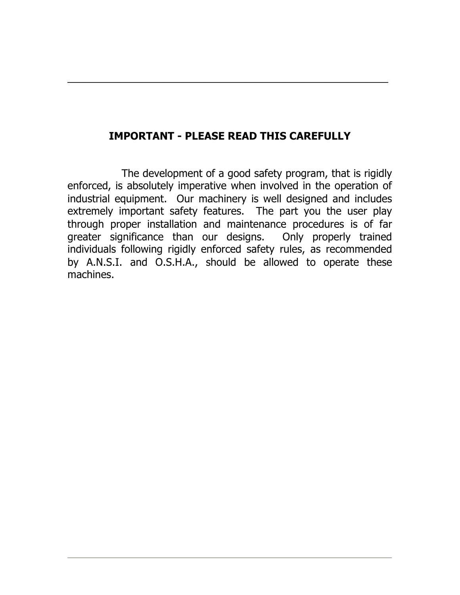### **IMPORTANT - PLEASE READ THIS CAREFULLY**

 $\mathcal{L}_\text{max}$  , and the contract of the contract of the contract of the contract of the contract of the contract of the contract of the contract of the contract of the contract of the contract of the contract of the contr

The development of a good safety program, that is rigidly enforced, is absolutely imperative when involved in the operation of industrial equipment. Our machinery is well designed and includes extremely important safety features. The part you the user play through proper installation and maintenance procedures is of far greater significance than our designs. Only properly trained individuals following rigidly enforced safety rules, as recommended by A.N.S.I. and O.S.H.A., should be allowed to operate these machines.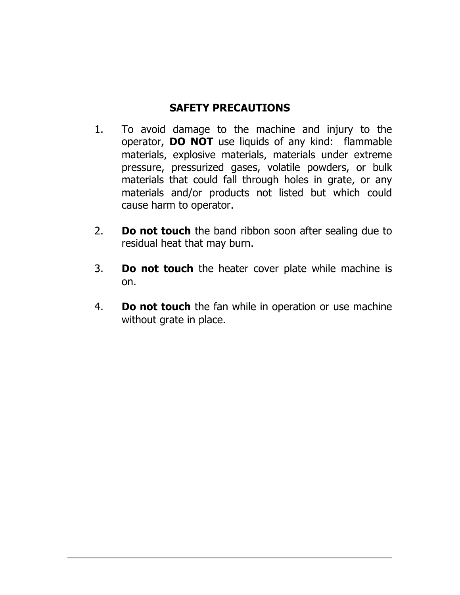### **SAFETY PRECAUTIONS**

- 1. To avoid damage to the machine and injury to the operator, **DO NOT** use liquids of any kind: flammable materials, explosive materials, materials under extreme pressure, pressurized gases, volatile powders, or bulk materials that could fall through holes in grate, or any materials and/or products not listed but which could cause harm to operator.
- 2. **Do not touch** the band ribbon soon after sealing due to residual heat that may burn.
- 3. **Do not touch** the heater cover plate while machine is on.
- 4. **Do not touch** the fan while in operation or use machine without grate in place.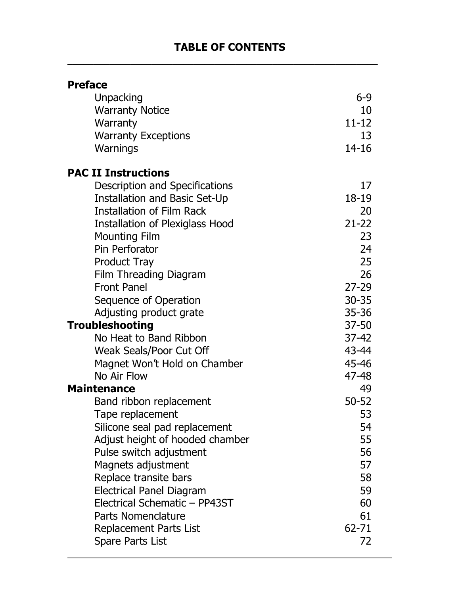### **TABLE OF CONTENTS**

| <b>Preface</b>                         |           |
|----------------------------------------|-----------|
| Unpacking                              | 6-9       |
| <b>Warranty Notice</b>                 | 10        |
| Warranty                               | $11 - 12$ |
| <b>Warranty Exceptions</b>             | 13        |
| Warnings                               | $14 - 16$ |
| <b>PAC II Instructions</b>             |           |
| Description and Specifications         | 17        |
| <b>Installation and Basic Set-Up</b>   | 18-19     |
| <b>Installation of Film Rack</b>       | 20        |
| <b>Installation of Plexiglass Hood</b> | $21 - 22$ |
| <b>Mounting Film</b>                   | 23        |
| Pin Perforator                         | 24        |
| <b>Product Tray</b>                    | 25        |
| Film Threading Diagram                 | 26        |
| <b>Front Panel</b>                     | $27 - 29$ |
| Sequence of Operation                  | $30 - 35$ |
| Adjusting product grate                | $35 - 36$ |
| <b>Troubleshooting</b>                 | $37 - 50$ |
| No Heat to Band Ribbon                 | $37 - 42$ |
| Weak Seals/Poor Cut Off                | 43-44     |
| Magnet Won't Hold on Chamber           | 45-46     |
| No Air Flow                            | 47-48     |
| <b>Maintenance</b>                     | 49        |
| Band ribbon replacement                | $50 - 52$ |
| Tape replacement                       | 53        |
| Silicone seal pad replacement          | 54        |
| Adjust height of hooded chamber        | 55        |
| Pulse switch adjustment                | 56        |
| Magnets adjustment                     | 57        |
| Replace transite bars                  | 58        |
| <b>Electrical Panel Diagram</b>        | 59        |
| Electrical Schematic - PP43ST          | 60        |
| <b>Parts Nomenclature</b>              | 61        |
| Replacement Parts List                 | 62-71     |
| <b>Spare Parts List</b>                | 72        |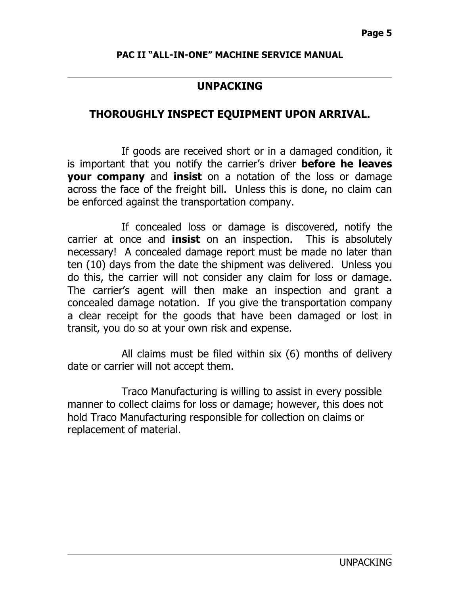### **UNPACKING**

### **THOROUGHLY INSPECT EQUIPMENT UPON ARRIVAL.**

If goods are received short or in a damaged condition, it is important that you notify the carrier's driver **before he leaves your company** and **insist** on a notation of the loss or damage across the face of the freight bill. Unless this is done, no claim can be enforced against the transportation company.

If concealed loss or damage is discovered, notify the carrier at once and **insist** on an inspection. This is absolutely necessary! A concealed damage report must be made no later than ten (10) days from the date the shipment was delivered. Unless you do this, the carrier will not consider any claim for loss or damage. The carrier's agent will then make an inspection and grant a concealed damage notation. If you give the transportation company a clear receipt for the goods that have been damaged or lost in transit, you do so at your own risk and expense.

All claims must be filed within six (6) months of delivery date or carrier will not accept them.

Traco Manufacturing is willing to assist in every possible manner to collect claims for loss or damage; however, this does not hold Traco Manufacturing responsible for collection on claims or replacement of material.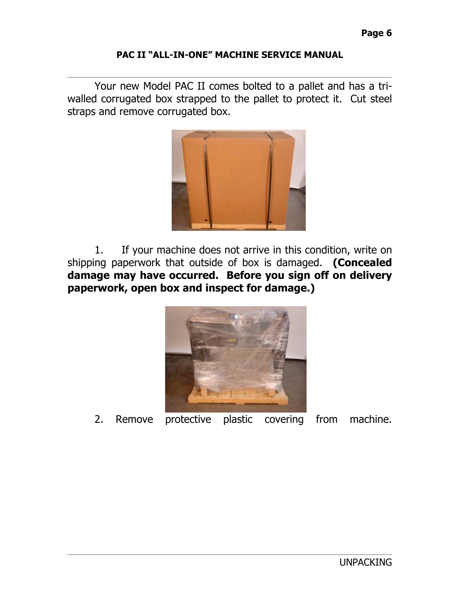Your new Model PAC II comes bolted to a pallet and has a triwalled corrugated box strapped to the pallet to protect it. Cut steel straps and remove corrugated box.



1. If your machine does not arrive in this condition, write on shipping paperwork that outside of box is damaged. **(Concealed damage may have occurred. Before you sign off on delivery paperwork, open box and inspect for damage.)**



2. Remove protective plastic covering from machine.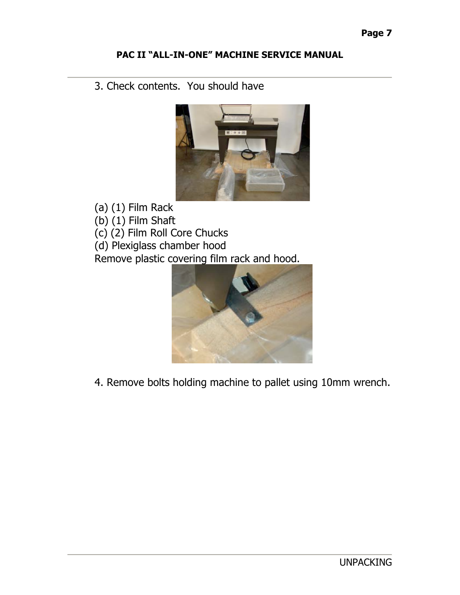### 3. Check contents. You should have



(a) (1) Film Rack

(b) (1) Film Shaft

(c) (2) Film Roll Core Chucks

(d) Plexiglass chamber hood

Remove plastic covering film rack and hood.



4. Remove bolts holding machine to pallet using 10mm wrench.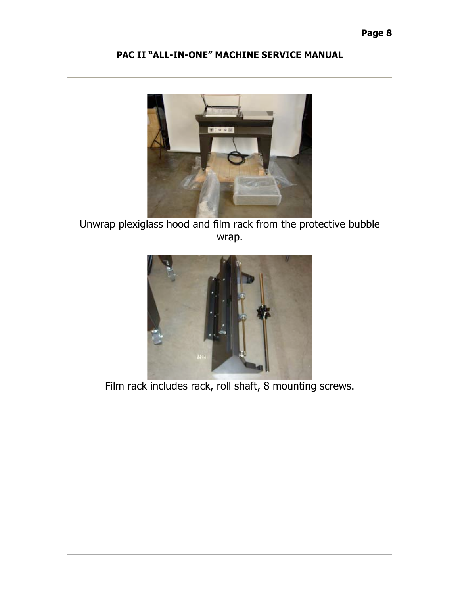

Unwrap plexiglass hood and film rack from the protective bubble wrap.



Film rack includes rack, roll shaft, 8 mounting screws.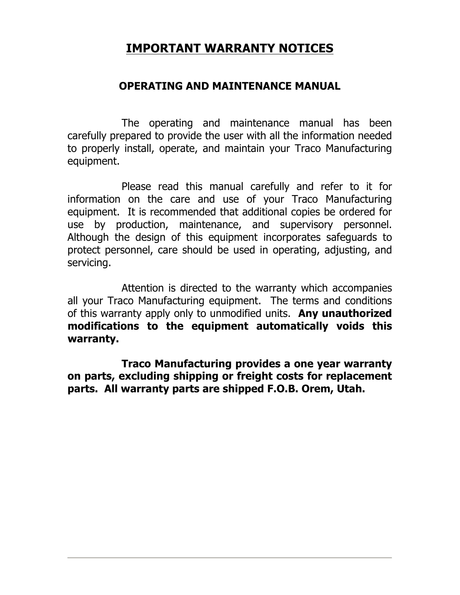# **IMPORTANT WARRANTY NOTICES**

### **OPERATING AND MAINTENANCE MANUAL**

The operating and maintenance manual has been carefully prepared to provide the user with all the information needed to properly install, operate, and maintain your Traco Manufacturing equipment.

Please read this manual carefully and refer to it for information on the care and use of your Traco Manufacturing equipment. It is recommended that additional copies be ordered for use by production, maintenance, and supervisory personnel. Although the design of this equipment incorporates safeguards to protect personnel, care should be used in operating, adjusting, and servicing.

Attention is directed to the warranty which accompanies all your Traco Manufacturing equipment. The terms and conditions of this warranty apply only to unmodified units. **Any unauthorized modifications to the equipment automatically voids this warranty.**

**Traco Manufacturing provides a one year warranty on parts, excluding shipping or freight costs for replacement parts. All warranty parts are shipped F.O.B. Orem, Utah.**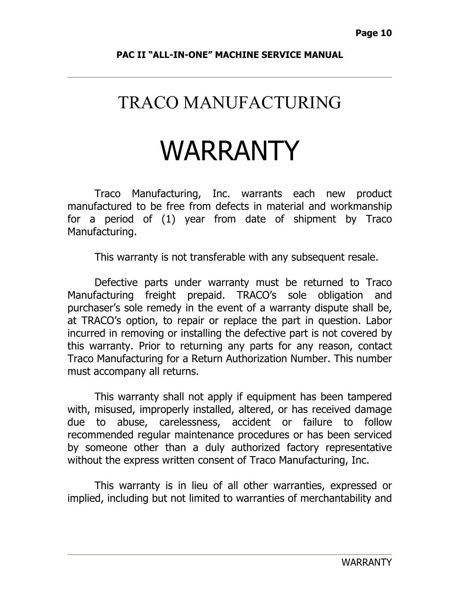# TRACO MANUFACTURING

# WARRANTY

Traco Manufacturing, Inc. warrants each new product manufactured to be free from defects in material and workmanship for a period of (1) year from date of shipment by Traco Manufacturing.

This warranty is not transferable with any subsequent resale.

Defective parts under warranty must be returned to Traco Manufacturing freight prepaid. TRACO's sole obligation and purchaser's sole remedy in the event of a warranty dispute shall be, at TRACO's option, to repair or replace the part in question. Labor incurred in removing or installing the defective part is not covered by this warranty. Prior to returning any parts for any reason, contact Traco Manufacturing for a Return Authorization Number. This number must accompany all returns.

This warranty shall not apply if equipment has been tampered with, misused, improperly installed, altered, or has received damage due to abuse, carelessness, accident or failure to follow recommended regular maintenance procedures or has been serviced by someone other than a duly authorized factory representative without the express written consent of Traco Manufacturing, Inc.

This warranty is in lieu of all other warranties, expressed or implied, including but not limited to warranties of merchantability and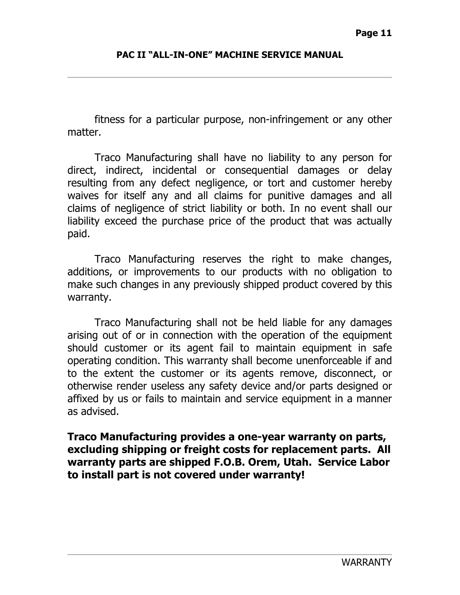fitness for a particular purpose, non-infringement or any other matter.

Traco Manufacturing shall have no liability to any person for direct, indirect, incidental or consequential damages or delay resulting from any defect negligence, or tort and customer hereby waives for itself any and all claims for punitive damages and all claims of negligence of strict liability or both. In no event shall our liability exceed the purchase price of the product that was actually paid.

Traco Manufacturing reserves the right to make changes, additions, or improvements to our products with no obligation to make such changes in any previously shipped product covered by this warranty.

Traco Manufacturing shall not be held liable for any damages arising out of or in connection with the operation of the equipment should customer or its agent fail to maintain equipment in safe operating condition. This warranty shall become unenforceable if and to the extent the customer or its agents remove, disconnect, or otherwise render useless any safety device and/or parts designed or affixed by us or fails to maintain and service equipment in a manner as advised.

**Traco Manufacturing provides a one-year warranty on parts, excluding shipping or freight costs for replacement parts. All warranty parts are shipped F.O.B. Orem, Utah. Service Labor to install part is not covered under warranty!**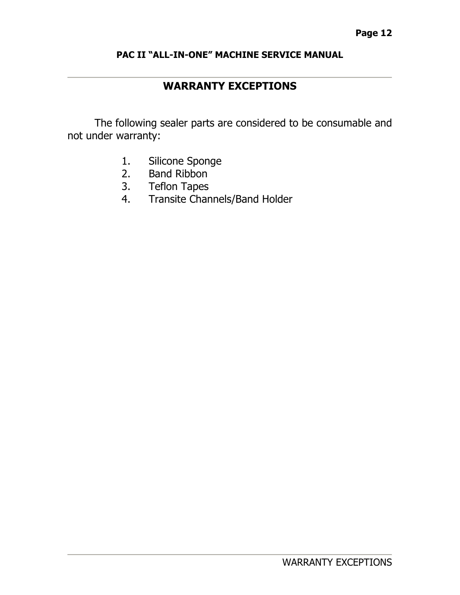### **WARRANTY EXCEPTIONS**

The following sealer parts are considered to be consumable and not under warranty:

- 1. Silicone Sponge
- 2. Band Ribbon
- 3. Teflon Tapes
- 4. Transite Channels/Band Holder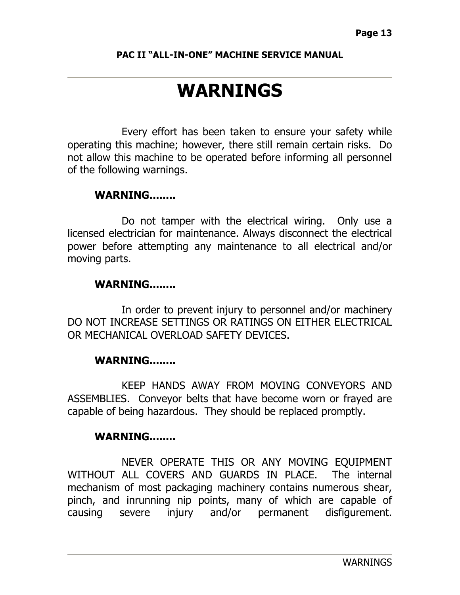# **WARNINGS**

Every effort has been taken to ensure your safety while operating this machine; however, there still remain certain risks. Do not allow this machine to be operated before informing all personnel of the following warnings.

### **WARNING........**

Do not tamper with the electrical wiring. Only use a licensed electrician for maintenance. Always disconnect the electrical power before attempting any maintenance to all electrical and/or moving parts.

### **WARNING........**

In order to prevent injury to personnel and/or machinery DO NOT INCREASE SETTINGS OR RATINGS ON EITHER ELECTRICAL OR MECHANICAL OVERLOAD SAFETY DEVICES.

### **WARNING........**

KEEP HANDS AWAY FROM MOVING CONVEYORS AND ASSEMBLIES. Conveyor belts that have become worn or frayed are capable of being hazardous. They should be replaced promptly.

### **WARNING........**

NEVER OPERATE THIS OR ANY MOVING EQUIPMENT WITHOUT ALL COVERS AND GUARDS IN PLACE. The internal mechanism of most packaging machinery contains numerous shear, pinch, and inrunning nip points, many of which are capable of causing severe injury and/or permanent disfigurement.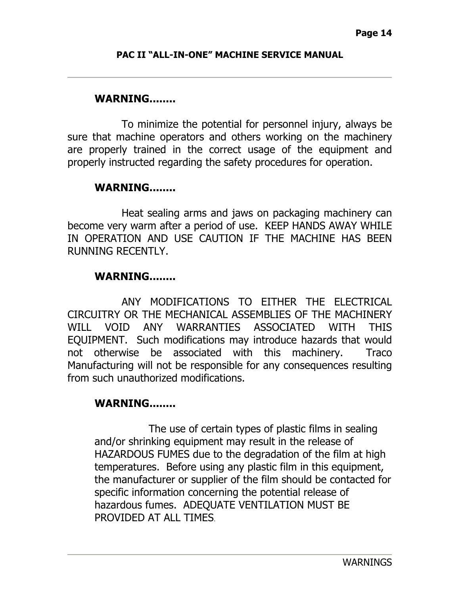#### **WARNING........**

To minimize the potential for personnel injury, always be sure that machine operators and others working on the machinery are properly trained in the correct usage of the equipment and properly instructed regarding the safety procedures for operation.

### **WARNING........**

Heat sealing arms and jaws on packaging machinery can become very warm after a period of use. KEEP HANDS AWAY WHILE IN OPERATION AND USE CAUTION IF THE MACHINE HAS BEEN RUNNING RECENTLY.

### **WARNING........**

ANY MODIFICATIONS TO EITHER THE ELECTRICAL CIRCUITRY OR THE MECHANICAL ASSEMBLIES OF THE MACHINERY WILL VOID ANY WARRANTIFS ASSOCIATED WITH THIS EQUIPMENT. Such modifications may introduce hazards that would not otherwise be associated with this machinery. Traco Manufacturing will not be responsible for any consequences resulting from such unauthorized modifications.

### **WARNING........**

The use of certain types of plastic films in sealing and/or shrinking equipment may result in the release of HAZARDOUS FUMES due to the degradation of the film at high temperatures. Before using any plastic film in this equipment, the manufacturer or supplier of the film should be contacted for specific information concerning the potential release of hazardous fumes. ADEQUATE VENTILATION MUST BE PROVIDED AT ALL TIMES.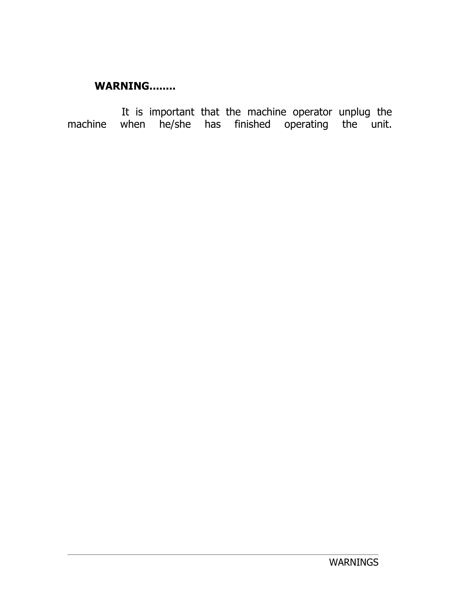# **WARNING........**

It is important that the machine operator unplug the machine when he/she has finished operating the unit.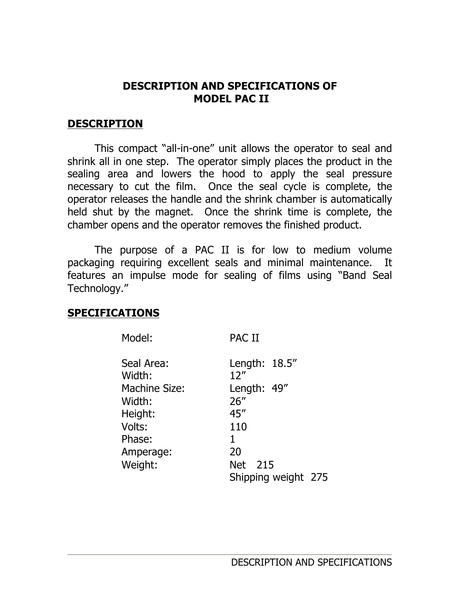### **DESCRIPTION AND SPECIFICATIONS OF MODEL PAC II**

### **DESCRIPTION**

This compact "all-in-one" unit allows the operator to seal and shrink all in one step. The operator simply places the product in the sealing area and lowers the hood to apply the seal pressure necessary to cut the film. Once the seal cycle is complete, the operator releases the handle and the shrink chamber is automatically held shut by the magnet. Once the shrink time is complete, the chamber opens and the operator removes the finished product.

The purpose of a PAC II is for low to medium volume packaging requiring excellent seals and minimal maintenance. It features an impulse mode for sealing of films using "Band Seal Technology."

### **SPECIFICATIONS**

| Model:               | PAC II                   |
|----------------------|--------------------------|
| Seal Area:<br>Width: | Length: $18.5$ "<br>12'' |
| <b>Machine Size:</b> | Length: 49"              |
| Width:               | 26''                     |
| Height:              | 45''                     |
| Volts:               | 110                      |
| Phase:               | 1                        |
| Amperage:            | 20                       |
| Weight:              | 215<br>Net               |
|                      | Shipping weight 275      |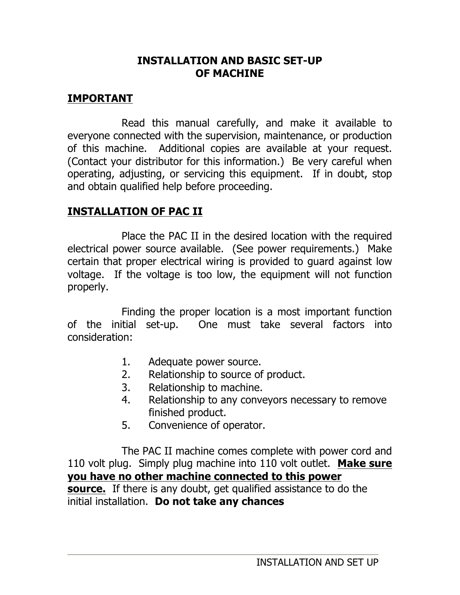### **INSTALLATION AND BASIC SET-UP OF MACHINE**

### **IMPORTANT**

Read this manual carefully, and make it available to everyone connected with the supervision, maintenance, or production of this machine. Additional copies are available at your request. (Contact your distributor for this information.) Be very careful when operating, adjusting, or servicing this equipment. If in doubt, stop and obtain qualified help before proceeding.

### **INSTALLATION OF PAC II**

Place the PAC II in the desired location with the required electrical power source available. (See power requirements.) Make certain that proper electrical wiring is provided to guard against low voltage. If the voltage is too low, the equipment will not function properly.

Finding the proper location is a most important function of the initial set-up. One must take several factors into consideration:

- 1. Adequate power source.
- 2. Relationship to source of product.
- 3. Relationship to machine.
- 4. Relationship to any conveyors necessary to remove finished product.
- 5. Convenience of operator.

The PAC II machine comes complete with power cord and 110 volt plug. Simply plug machine into 110 volt outlet. **Make sure you have no other machine connected to this power source.** If there is any doubt, get qualified assistance to do the initial installation. **Do not take any chances**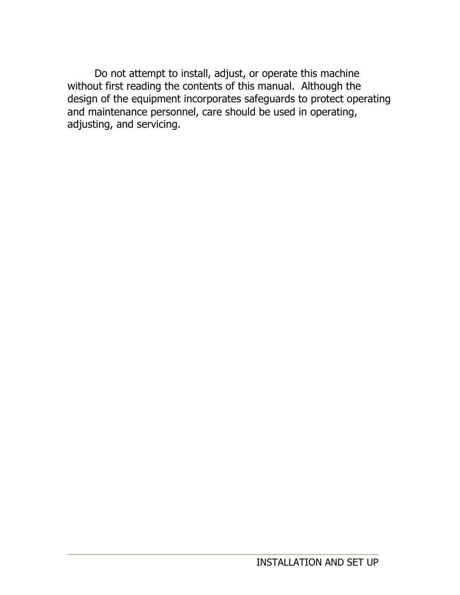Do not attempt to install, adjust, or operate this machine without first reading the contents of this manual. Although the design of the equipment incorporates safeguards to protect operating and maintenance personnel, care should be used in operating, adjusting, and servicing.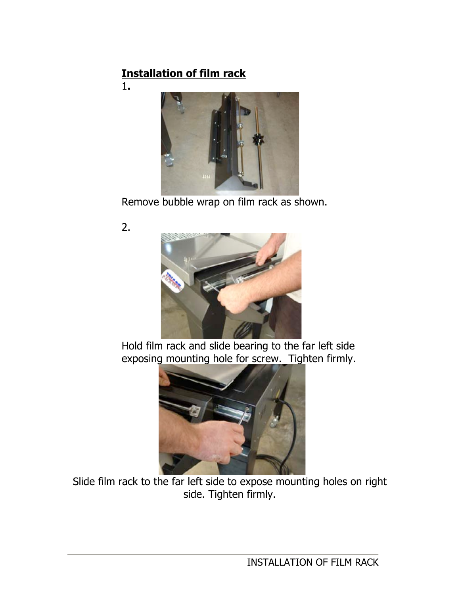# **Installation of film rack**

1**.**



Remove bubble wrap on film rack as shown.

2.



Hold film rack and slide bearing to the far left side exposing mounting hole for screw. Tighten firmly.



Slide film rack to the far left side to expose mounting holes on right side. Tighten firmly.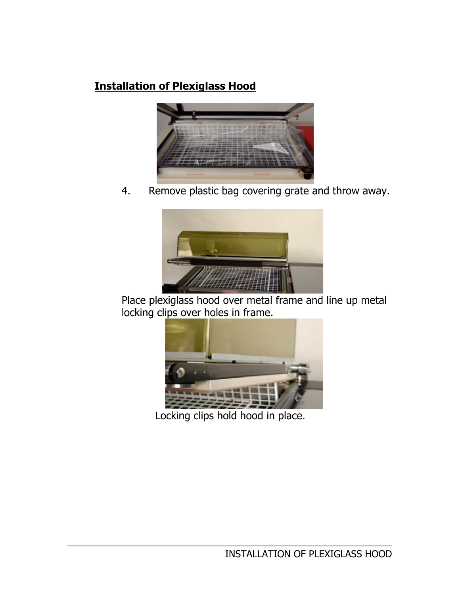# **Installation of Plexiglass Hood**



4. Remove plastic bag covering grate and throw away.



Place plexiglass hood over metal frame and line up metal locking clips over holes in frame.



Locking clips hold hood in place.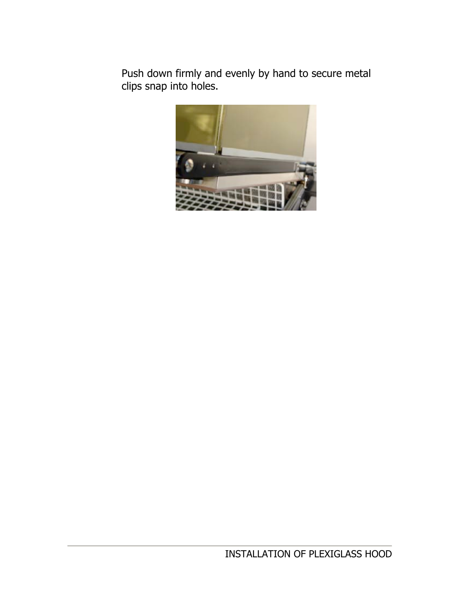Push down firmly and evenly by hand to secure metal clips snap into holes.

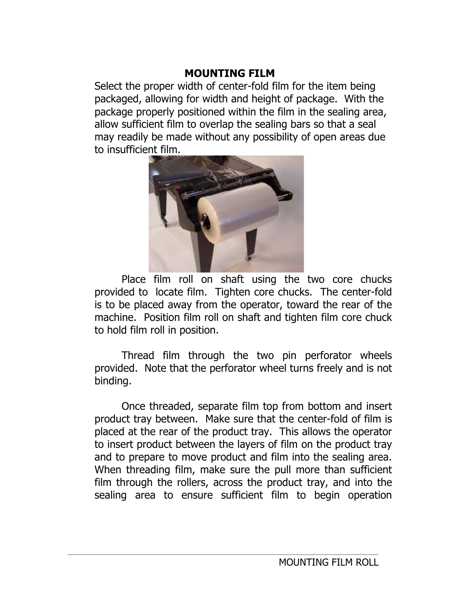### **MOUNTING FILM**

Select the proper width of center-fold film for the item being packaged, allowing for width and height of package. With the package properly positioned within the film in the sealing area, allow sufficient film to overlap the sealing bars so that a seal may readily be made without any possibility of open areas due to insufficient film.



Place film roll on shaft using the two core chucks provided to locate film. Tighten core chucks. The center-fold is to be placed away from the operator, toward the rear of the machine. Position film roll on shaft and tighten film core chuck to hold film roll in position.

Thread film through the two pin perforator wheels provided. Note that the perforator wheel turns freely and is not binding.

Once threaded, separate film top from bottom and insert product tray between. Make sure that the center-fold of film is placed at the rear of the product tray. This allows the operator to insert product between the layers of film on the product tray and to prepare to move product and film into the sealing area. When threading film, make sure the pull more than sufficient film through the rollers, across the product tray, and into the sealing area to ensure sufficient film to begin operation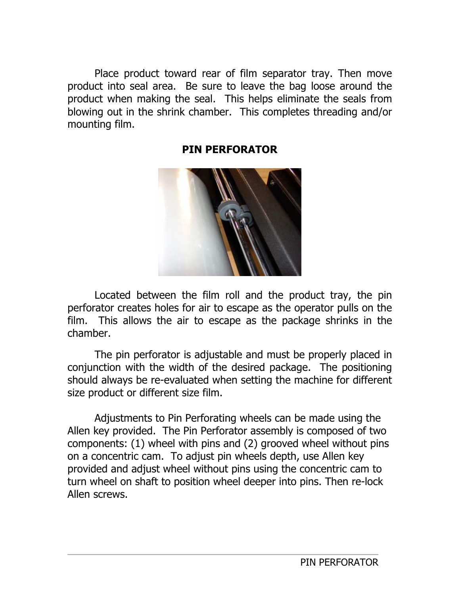Place product toward rear of film separator tray. Then move product into seal area. Be sure to leave the bag loose around the product when making the seal. This helps eliminate the seals from blowing out in the shrink chamber. This completes threading and/or mounting film.



### **PIN PERFORATOR**

Located between the film roll and the product tray, the pin perforator creates holes for air to escape as the operator pulls on the film. This allows the air to escape as the package shrinks in the chamber.

The pin perforator is adjustable and must be properly placed in conjunction with the width of the desired package. The positioning should always be re-evaluated when setting the machine for different size product or different size film.

Adjustments to Pin Perforating wheels can be made using the Allen key provided. The Pin Perforator assembly is composed of two components: (1) wheel with pins and (2) grooved wheel without pins on a concentric cam. To adjust pin wheels depth, use Allen key provided and adjust wheel without pins using the concentric cam to turn wheel on shaft to position wheel deeper into pins. Then re-lock Allen screws.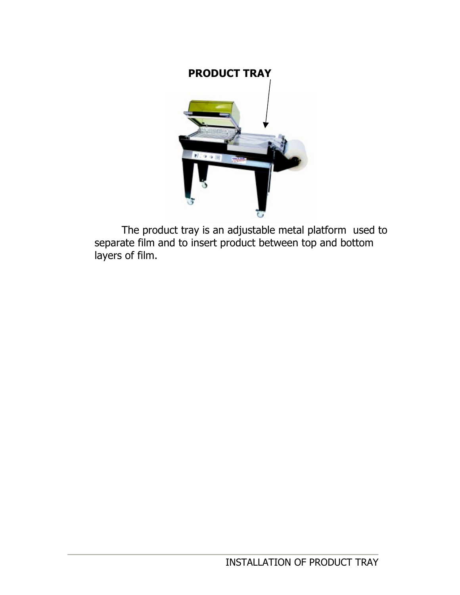

The product tray is an adjustable metal platform used to separate film and to insert product between top and bottom layers of film.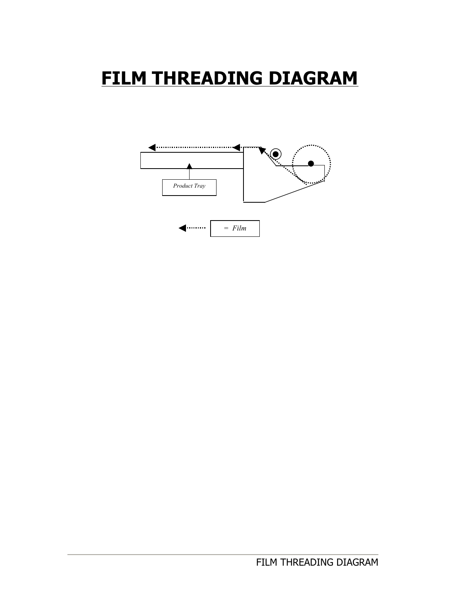# **FILM THREADING DIAGRAM**

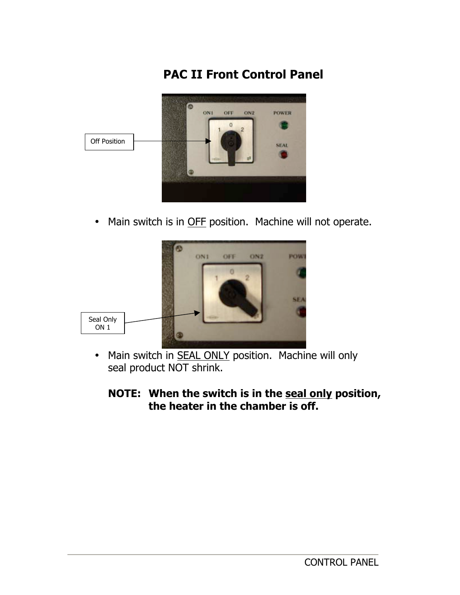# **PAC II Front Control Panel**



• Main switch is in OFF position. Machine will not operate.



• Main switch in **SEAL ONLY** position. Machine will only seal product NOT shrink.

### **NOTE: When the switch is in the seal only position, the heater in the chamber is off.**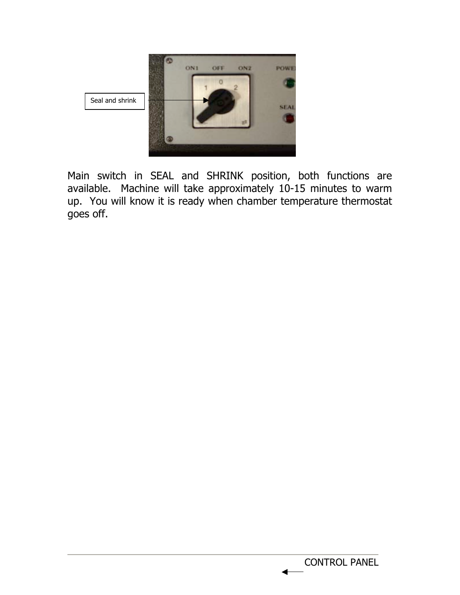

Main switch in SEAL and SHRINK position, both functions are available. Machine will take approximately 10-15 minutes to warm up. You will know it is ready when chamber temperature thermostat goes off.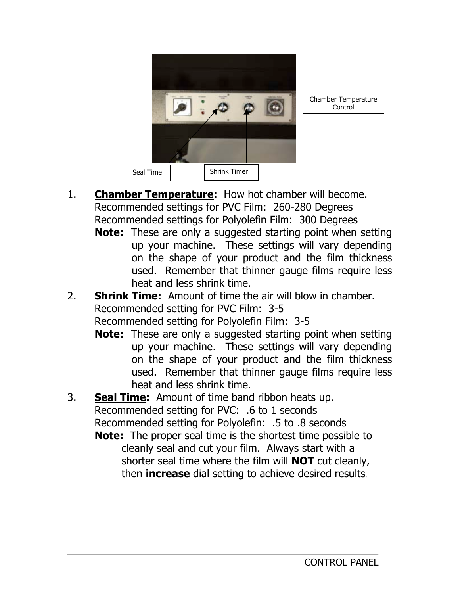

Chamber Temperature **Control** 

- 1. **Chamber Temperature:** How hot chamber will become. Recommended settings for PVC Film: 260-280 Degrees Recommended settings for Polyolefin Film: 300 Degrees
	- **Note:** These are only a suggested starting point when setting up your machine. These settings will vary depending on the shape of your product and the film thickness used. Remember that thinner gauge films require less heat and less shrink time.
- 2. **Shrink Time:** Amount of time the air will blow in chamber. Recommended setting for PVC Film: 3-5 Recommended setting for Polyolefin Film: 3-5
	- **Note:** These are only a suggested starting point when setting up your machine. These settings will vary depending on the shape of your product and the film thickness used. Remember that thinner gauge films require less heat and less shrink time.
- 3. **Seal Time:** Amount of time band ribbon heats up. Recommended setting for PVC: .6 to 1 seconds Recommended setting for Polyolefin: .5 to .8 seconds **Note:** The proper seal time is the shortest time possible to cleanly seal and cut your film. Always start with a shorter seal time where the film will **NOT** cut cleanly,
	- then **increase** dial setting to achieve desired results.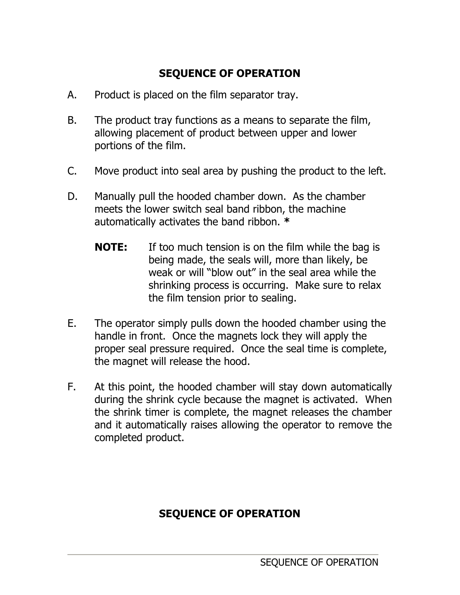# **SEQUENCE OF OPERATION**

- A. Product is placed on the film separator tray.
- B. The product tray functions as a means to separate the film, allowing placement of product between upper and lower portions of the film.
- C. Move product into seal area by pushing the product to the left.
- D. Manually pull the hooded chamber down. As the chamber meets the lower switch seal band ribbon, the machine automatically activates the band ribbon. **\***
	- **NOTE:** If too much tension is on the film while the bag is being made, the seals will, more than likely, be weak or will "blow out" in the seal area while the shrinking process is occurring. Make sure to relax the film tension prior to sealing.
- E. The operator simply pulls down the hooded chamber using the handle in front. Once the magnets lock they will apply the proper seal pressure required. Once the seal time is complete, the magnet will release the hood.
- F. At this point, the hooded chamber will stay down automatically during the shrink cycle because the magnet is activated. When the shrink timer is complete, the magnet releases the chamber and it automatically raises allowing the operator to remove the completed product.

# **SEQUENCE OF OPERATION**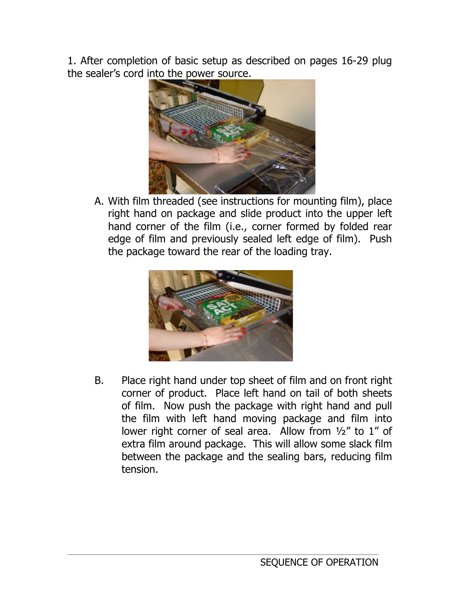1. After completion of basic setup as described on pages 16-29 plug the sealer's cord into the power source.



A. With film threaded (see instructions for mounting film), place right hand on package and slide product into the upper left hand corner of the film (i.e., corner formed by folded rear edge of film and previously sealed left edge of film). Push the package toward the rear of the loading tray.



B. Place right hand under top sheet of film and on front right corner of product. Place left hand on tail of both sheets of film. Now push the package with right hand and pull the film with left hand moving package and film into lower right corner of seal area. Allow from ½" to 1" of extra film around package. This will allow some slack film between the package and the sealing bars, reducing film tension.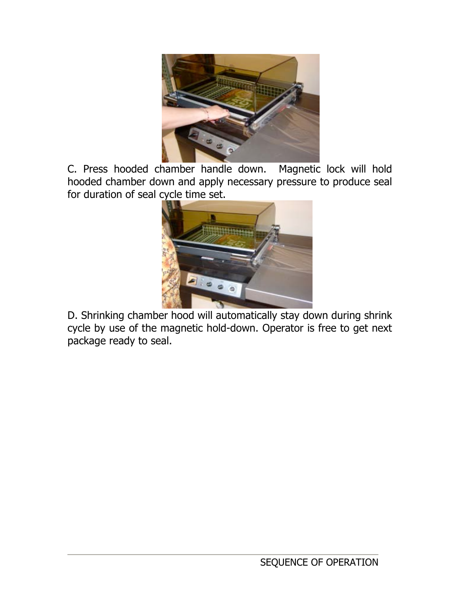

C. Press hooded chamber handle down. Magnetic lock will hold hooded chamber down and apply necessary pressure to produce seal for duration of seal cycle time set.



 D. Shrinking chamber hood will automatically stay down during shrink cycle by use of the magnetic hold-down. Operator is free to get next package ready to seal.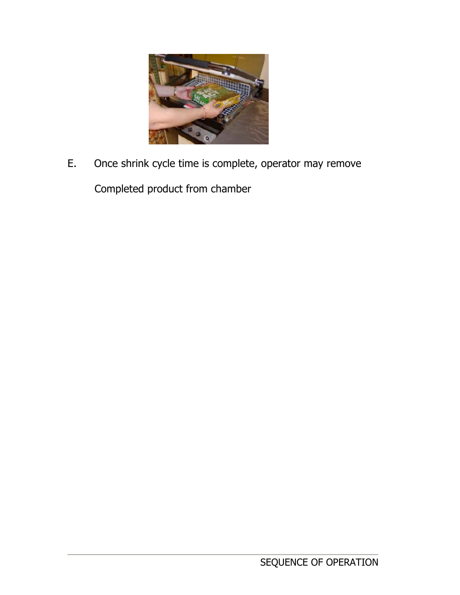

E. Once shrink cycle time is complete, operator may remove

Completed product from chamber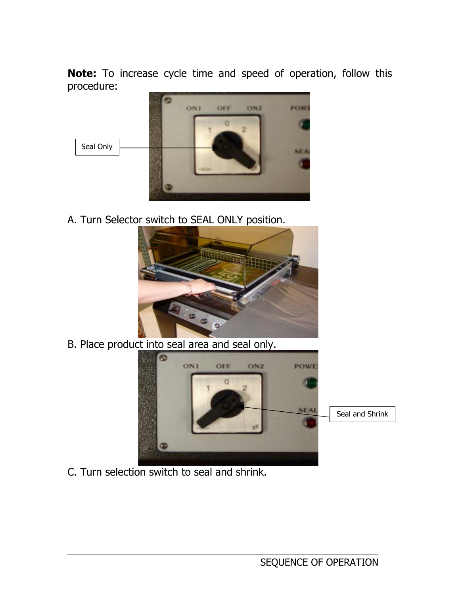**Note:** To increase cycle time and speed of operation, follow this procedure:



A. Turn Selector switch to SEAL ONLY position.





C. Turn selection switch to seal and shrink.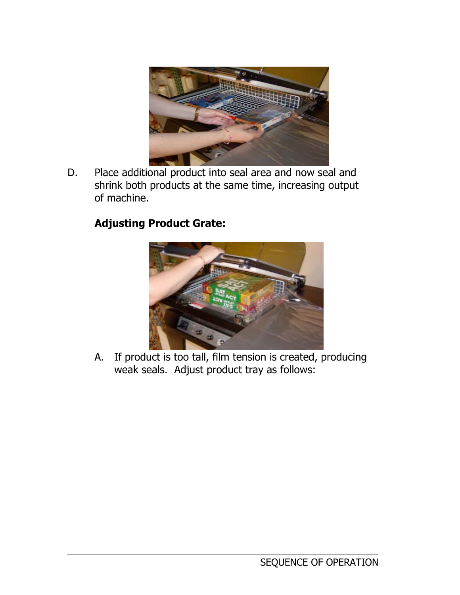

D. Place additional product into seal area and now seal and shrink both products at the same time, increasing output of machine.

# **Adjusting Product Grate:**



A. If product is too tall, film tension is created, producing weak seals. Adjust product tray as follows: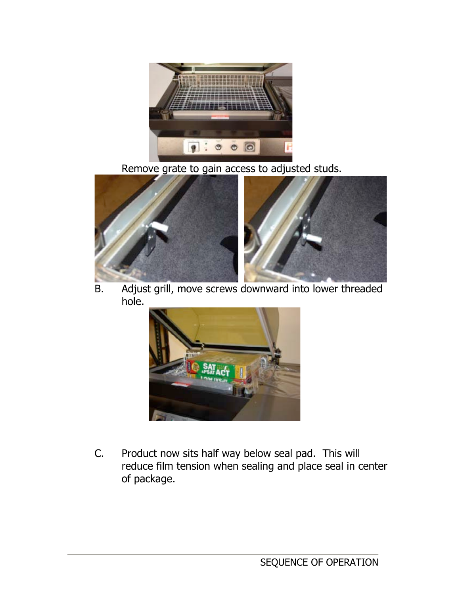

Remove grate to gain access to adjusted studs.



B. Adjust grill, move screws downward into lower threaded hole.



C. Product now sits half way below seal pad. This will reduce film tension when sealing and place seal in center of package.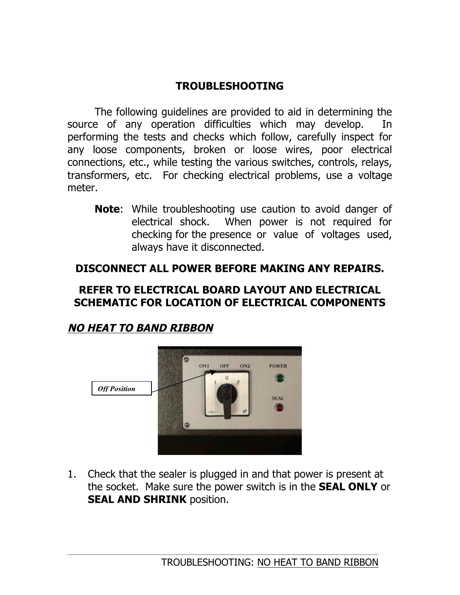### **TROUBLESHOOTING**

The following guidelines are provided to aid in determining the source of any operation difficulties which may develop. In performing the tests and checks which follow, carefully inspect for any loose components, broken or loose wires, poor electrical connections, etc., while testing the various switches, controls, relays, transformers, etc. For checking electrical problems, use a voltage meter.

**Note**: While troubleshooting use caution to avoid danger of electrical shock. When power is not required for checking for the presence or value of voltages used, always have it disconnected.

### **DISCONNECT ALL POWER BEFORE MAKING ANY REPAIRS.**

### **REFER TO ELECTRICAL BOARD LAYOUT AND ELECTRICAL SCHEMATIC FOR LOCATION OF ELECTRICAL COMPONENTS**

# **NO HEAT TO BAND RIBBON**



1. Check that the sealer is plugged in and that power is present at the socket. Make sure the power switch is in the **SEAL ONLY** or **SEAL AND SHRINK** position.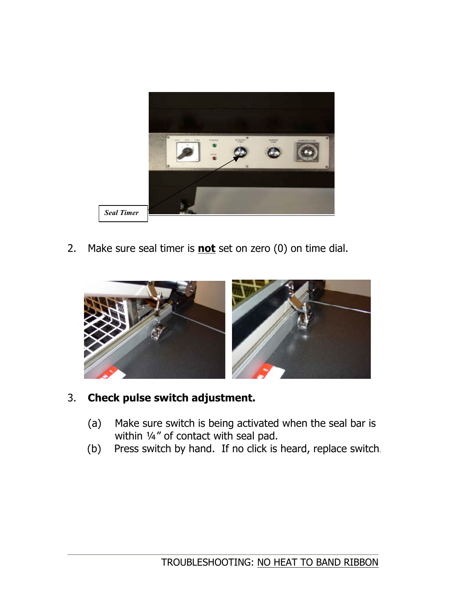

2. Make sure seal timer is **not** set on zero (0) on time dial.



### 3. **Check pulse switch adjustment.**

- (a) Make sure switch is being activated when the seal bar is within 1/4" of contact with seal pad.
- (b) Press switch by hand. If no click is heard, replace switch.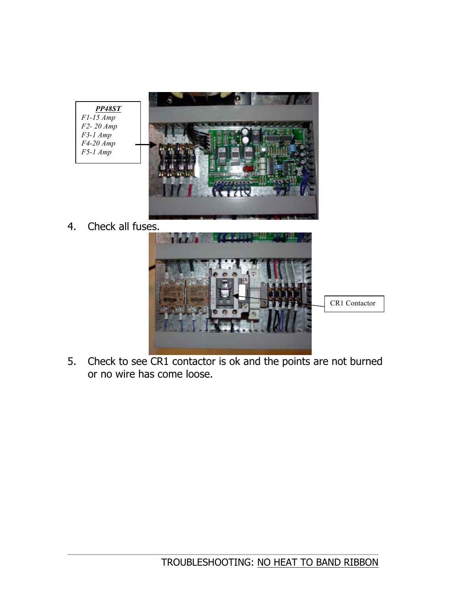

4. Check all fuses.



5. Check to see CR1 contactor is ok and the points are not burned or no wire has come loose.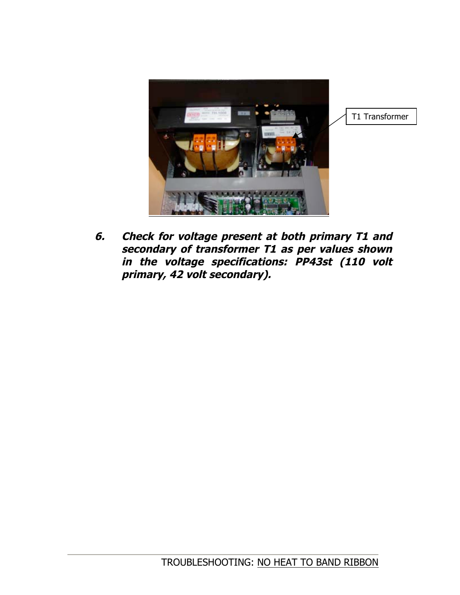

**6. Check for voltage present at both primary T1 and secondary of transformer T1 as per values shown in the voltage specifications: PP43st (110 volt primary, 42 volt secondary).**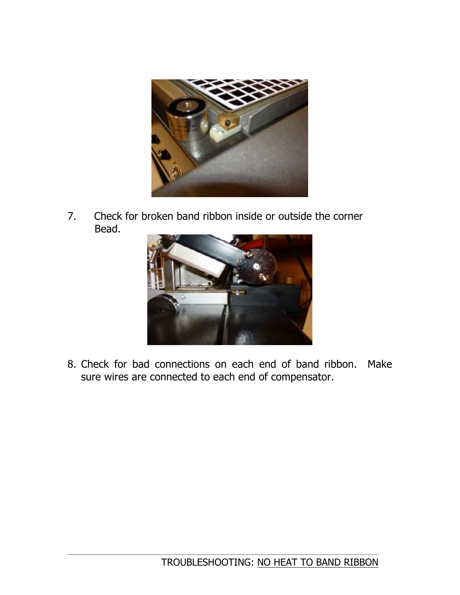

7. Check for broken band ribbon inside or outside the corner Bead.



8. Check for bad connections on each end of band ribbon. Make sure wires are connected to each end of compensator.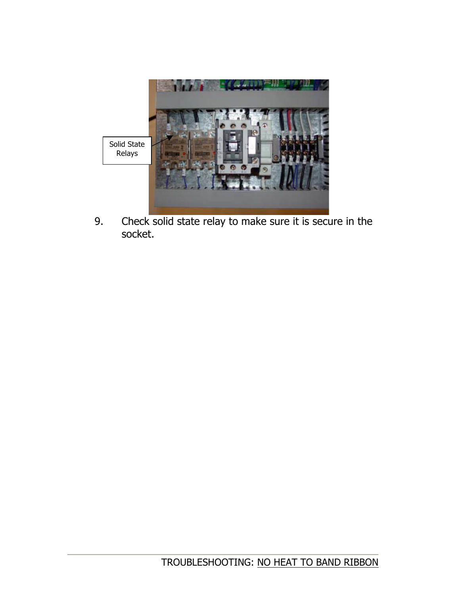

9. Check solid state relay to make sure it is secure in the socket.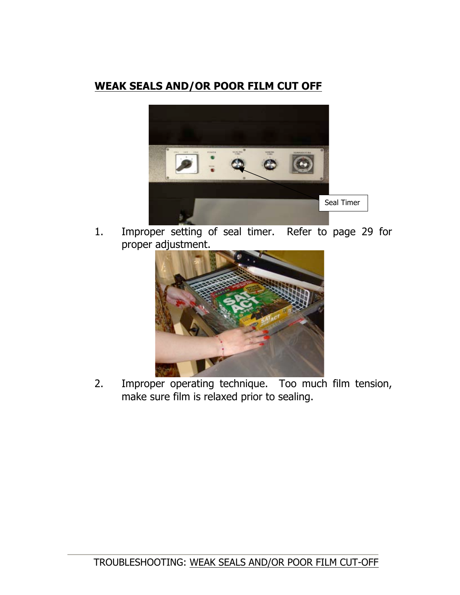### **WEAK SEALS AND/OR POOR FILM CUT OFF**



1. Improper setting of seal timer. Refer to page 29 for proper adjustment.



 2. Improper operating technique. Too much film tension, make sure film is relaxed prior to sealing.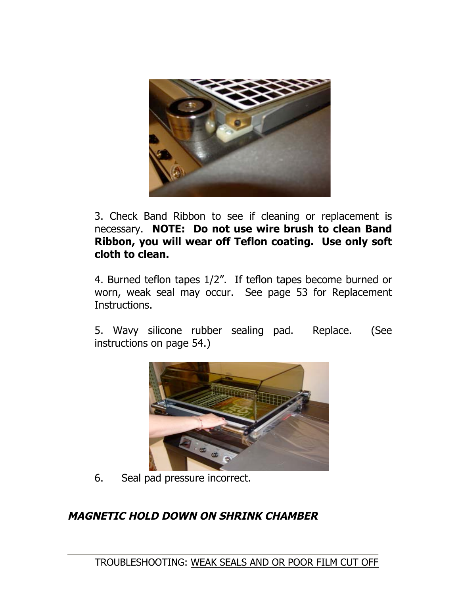

3. Check Band Ribbon to see if cleaning or replacement is necessary. **NOTE: Do not use wire brush to clean Band Ribbon, you will wear off Teflon coating. Use only soft cloth to clean.**

4. Burned teflon tapes 1/2". If teflon tapes become burned or worn, weak seal may occur. See page 53 for Replacement Instructions.

5. Wavy silicone rubber sealing pad. Replace. (See instructions on page 54.)



6. Seal pad pressure incorrect.

# **MAGNETIC HOLD DOWN ON SHRINK CHAMBER**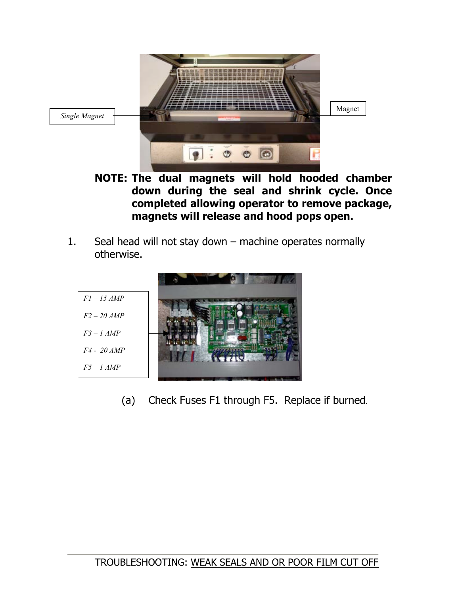

**NOTE: The dual magnets will hold hooded chamber down during the seal and shrink cycle. Once completed allowing operator to remove package, magnets will release and hood pops open.**

1. Seal head will not stay down – machine operates normally otherwise.



(a) Check Fuses F1 through F5. Replace if burned.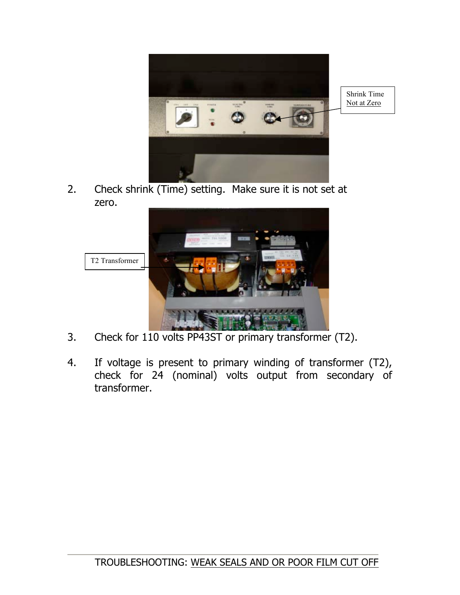

Shrink Time Not at Zero

2. Check shrink (Time) setting. Make sure it is not set at zero.



- 3. Check for 110 volts PP43ST or primary transformer (T2).
- 4. If voltage is present to primary winding of transformer (T2), check for 24 (nominal) volts output from secondary of transformer.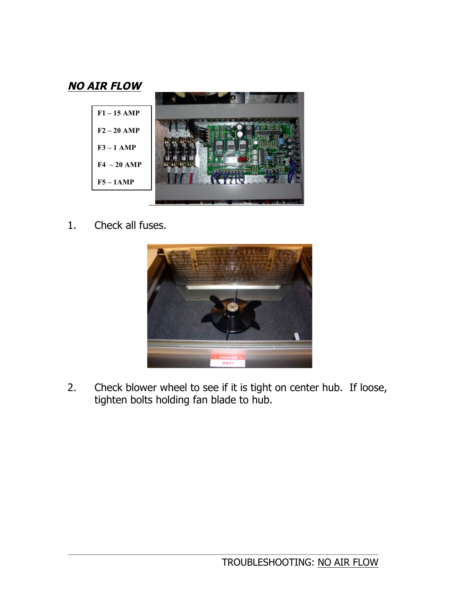

1. Check all fuses.



2. Check blower wheel to see if it is tight on center hub. If loose, tighten bolts holding fan blade to hub.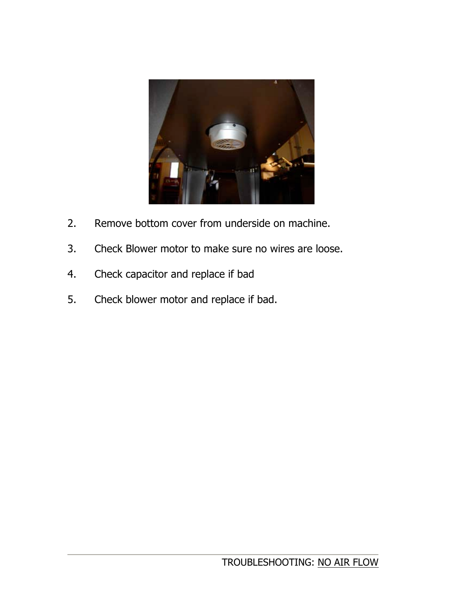

- 2. Remove bottom cover from underside on machine.
- 3. Check Blower motor to make sure no wires are loose.
- 4. Check capacitor and replace if bad
- 5. Check blower motor and replace if bad.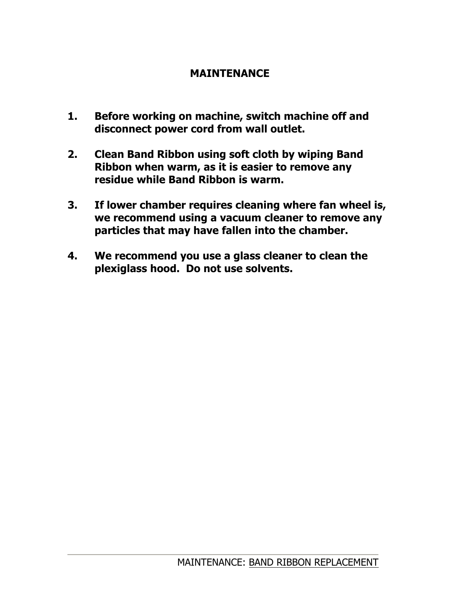### **MAINTENANCE**

- **1. Before working on machine, switch machine off and disconnect power cord from wall outlet.**
- **2. Clean Band Ribbon using soft cloth by wiping Band Ribbon when warm, as it is easier to remove any residue while Band Ribbon is warm.**
- **3. If lower chamber requires cleaning where fan wheel is, we recommend using a vacuum cleaner to remove any particles that may have fallen into the chamber.**
- **4. We recommend you use a glass cleaner to clean the plexiglass hood. Do not use solvents.**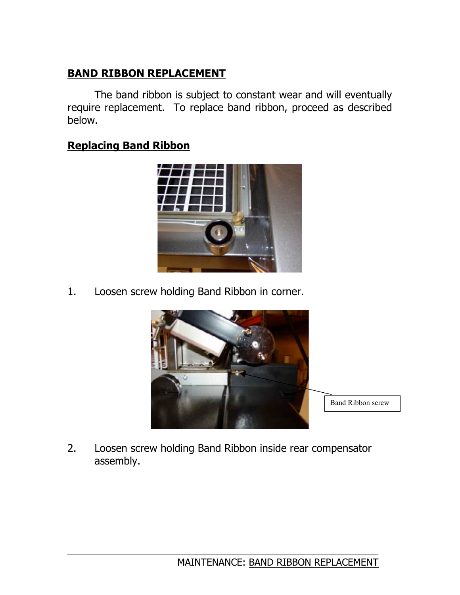# **BAND RIBBON REPLACEMENT**

The band ribbon is subject to constant wear and will eventually require replacement. To replace band ribbon, proceed as described below.

### **Replacing Band Ribbon**



1. Loosen screw holding Band Ribbon in corner.



2. Loosen screw holding Band Ribbon inside rear compensator assembly.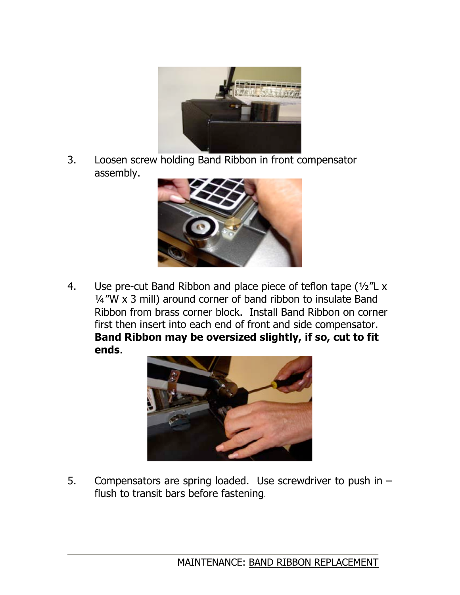

3. Loosen screw holding Band Ribbon in front compensator assembly.



4. Use pre-cut Band Ribbon and place piece of teflon tape (½"L x  $\frac{1}{4}$  "W x 3 mill) around corner of band ribbon to insulate Band Ribbon from brass corner block. Install Band Ribbon on corner first then insert into each end of front and side compensator. **Band Ribbon may be oversized slightly, if so, cut to fit ends**.



5. Compensators are spring loaded. Use screwdriver to push in – flush to transit bars before fastening.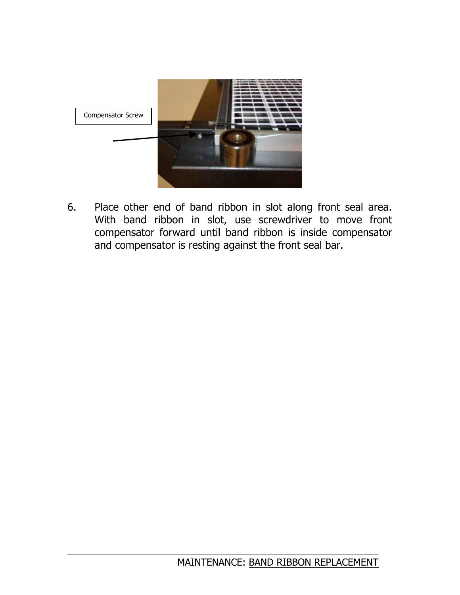

6. Place other end of band ribbon in slot along front seal area. With band ribbon in slot, use screwdriver to move front compensator forward until band ribbon is inside compensator and compensator is resting against the front seal bar.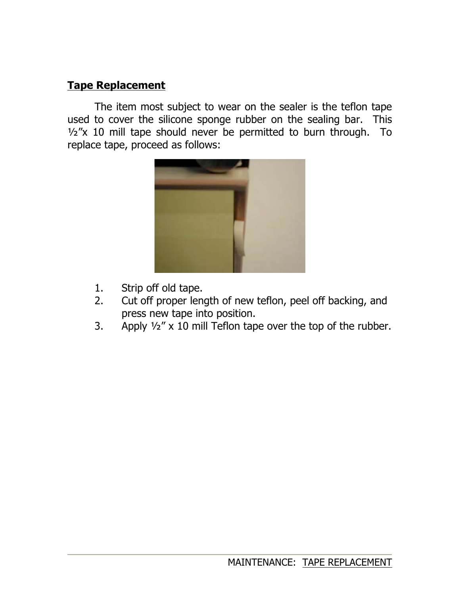### **Tape Replacement**

The item most subject to wear on the sealer is the teflon tape used to cover the silicone sponge rubber on the sealing bar. This  $\frac{1}{2}x$  10 mill tape should never be permitted to burn through. To replace tape, proceed as follows:



- 1. Strip off old tape.
- 2. Cut off proper length of new teflon, peel off backing, and press new tape into position.
- 3. Apply  $\frac{1}{2}$ " x 10 mill Teflon tape over the top of the rubber.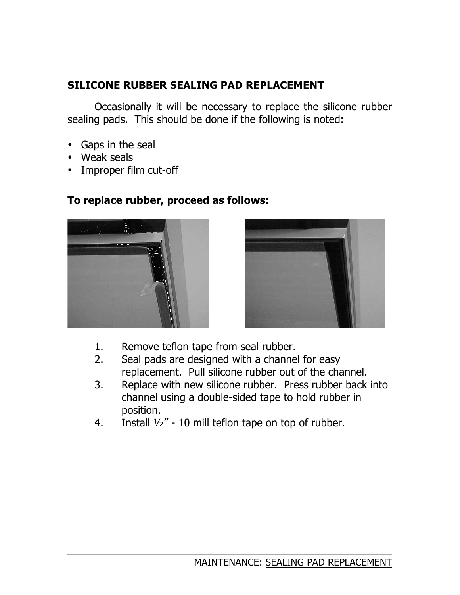# **SILICONE RUBBER SEALING PAD REPLACEMENT**

Occasionally it will be necessary to replace the silicone rubber sealing pads. This should be done if the following is noted:

- Gaps in the seal
- Weak seals
- Improper film cut-off



# **To replace rubber, proceed as follows:**



- 1. Remove teflon tape from seal rubber.
- 2. Seal pads are designed with a channel for easy replacement. Pull silicone rubber out of the channel.
- 3. Replace with new silicone rubber. Press rubber back into channel using a double-sided tape to hold rubber in position.
- 4. Install  $1/2$ " 10 mill teflon tape on top of rubber.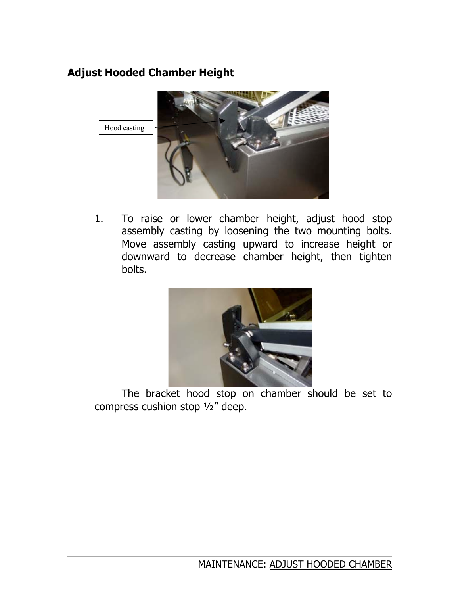# **Adjust Hooded Chamber Height**



1. To raise or lower chamber height, adjust hood stop assembly casting by loosening the two mounting bolts. Move assembly casting upward to increase height or downward to decrease chamber height, then tighten bolts.



 The bracket hood stop on chamber should be set to compress cushion stop ½" deep.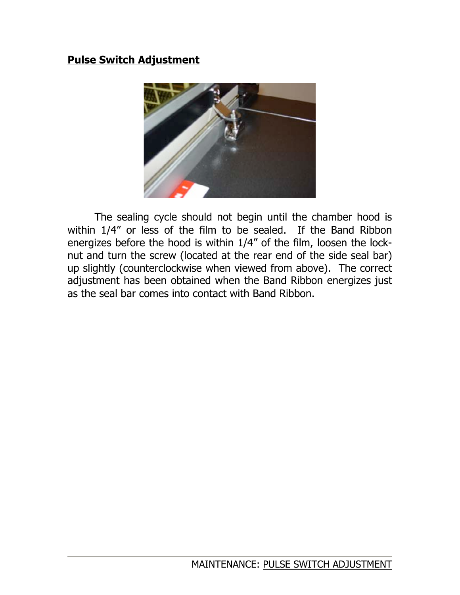### **Pulse Switch Adjustment**



The sealing cycle should not begin until the chamber hood is within 1/4" or less of the film to be sealed. If the Band Ribbon energizes before the hood is within 1/4" of the film, loosen the locknut and turn the screw (located at the rear end of the side seal bar) up slightly (counterclockwise when viewed from above). The correct adjustment has been obtained when the Band Ribbon energizes just as the seal bar comes into contact with Band Ribbon.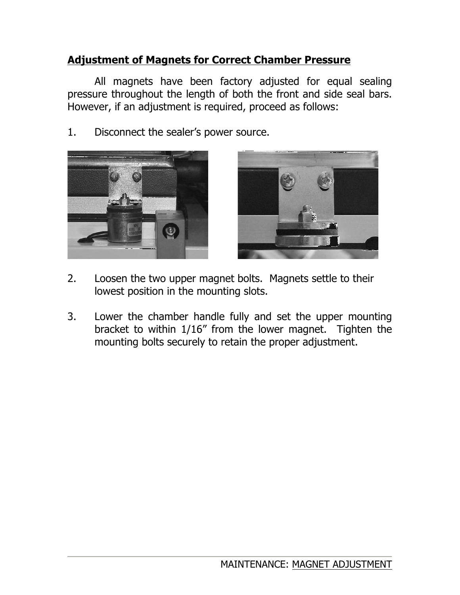### **Adjustment of Magnets for Correct Chamber Pressure**

All magnets have been factory adjusted for equal sealing pressure throughout the length of both the front and side seal bars. However, if an adjustment is required, proceed as follows:

1. Disconnect the sealer's power source.





- 2. Loosen the two upper magnet bolts. Magnets settle to their lowest position in the mounting slots.
- 3. Lower the chamber handle fully and set the upper mounting bracket to within 1/16" from the lower magnet. Tighten the mounting bolts securely to retain the proper adjustment.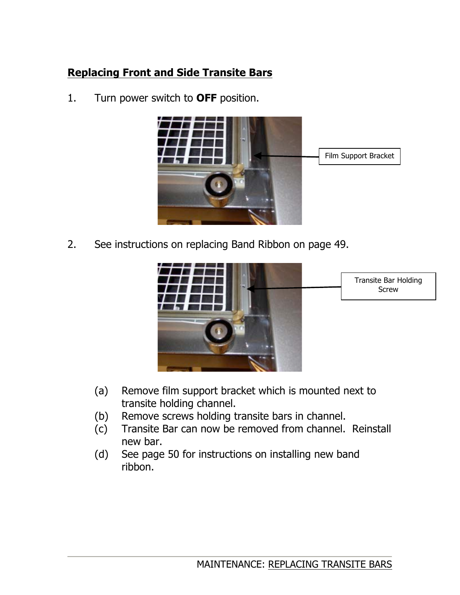# **Replacing Front and Side Transite Bars**

1. Turn power switch to **OFF** position.



2. See instructions on replacing Band Ribbon on page 49.



- (a) Remove film support bracket which is mounted next to transite holding channel.
- (b) Remove screws holding transite bars in channel.
- (c) Transite Bar can now be removed from channel. Reinstall new bar.
- (d) See page 50 for instructions on installing new band ribbon.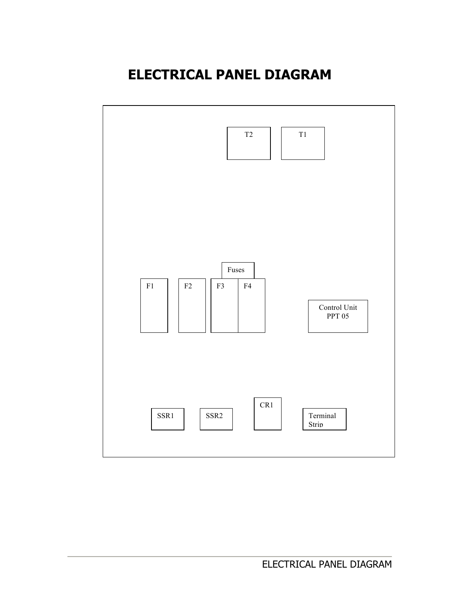# **ELECTRICAL PANEL DIAGRAM**

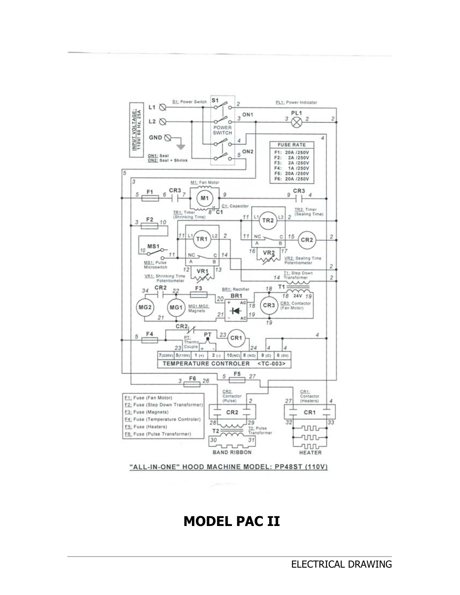# **MODEL PAC II**

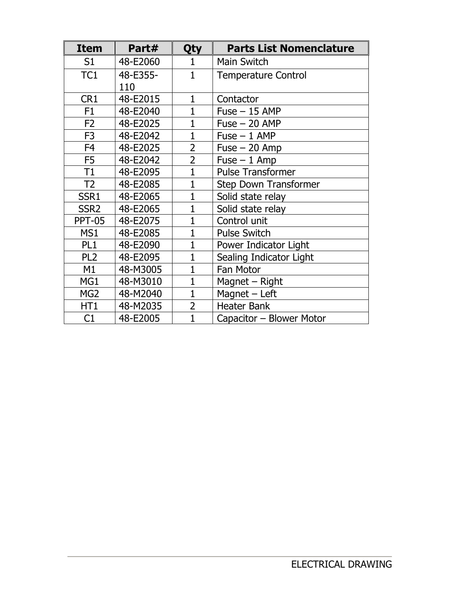| <b>Item</b>      | Part#    | Qty            | <b>Parts List Nomenclature</b> |
|------------------|----------|----------------|--------------------------------|
| S <sub>1</sub>   | 48-E2060 | 1              | Main Switch                    |
| TC <sub>1</sub>  | 48-E355- | $\mathbf{1}$   | <b>Temperature Control</b>     |
|                  | 110      |                |                                |
| CR1              | 48-E2015 | $\mathbf{1}$   | Contactor                      |
| F <sub>1</sub>   | 48-E2040 | $\mathbf{1}$   | $Fuse - 15$ AMP                |
| F <sub>2</sub>   | 48-E2025 | $\mathbf{1}$   | $Fuse - 20$ AMP                |
| F <sub>3</sub>   | 48-E2042 | $\overline{1}$ | $Fuse - 1$ AMP                 |
| F <sub>4</sub>   | 48-E2025 | $\overline{2}$ | $Fuse - 20 Amp$                |
| F <sub>5</sub>   | 48-E2042 | $\overline{2}$ | $Fuse - 1$ Amp                 |
| T1               | 48-E2095 | $\mathbf{1}$   | <b>Pulse Transformer</b>       |
| T <sub>2</sub>   | 48-E2085 | $\overline{1}$ | <b>Step Down Transformer</b>   |
| SSR1             | 48-E2065 | $\overline{1}$ | Solid state relay              |
| SSR <sub>2</sub> | 48-E2065 | $\mathbf{1}$   | Solid state relay              |
| <b>PPT-05</b>    | 48-E2075 | $\mathbf{1}$   | Control unit                   |
| MS1              | 48-E2085 | $\mathbf{1}$   | <b>Pulse Switch</b>            |
| PL <sub>1</sub>  | 48-E2090 | $\overline{1}$ | Power Indicator Light          |
| PL <sub>2</sub>  | 48-E2095 | $\overline{1}$ | Sealing Indicator Light        |
| M1               | 48-M3005 | $\mathbf{1}$   | Fan Motor                      |
| MG1              | 48-M3010 | $\mathbf{1}$   | Magnet - Right                 |
| MG <sub>2</sub>  | 48-M2040 | $\mathbf{1}$   | Magnet - Left                  |
| HT1              | 48-M2035 | $\overline{2}$ | <b>Heater Bank</b>             |
| C1               | 48-E2005 | $\overline{1}$ | Capacitor - Blower Motor       |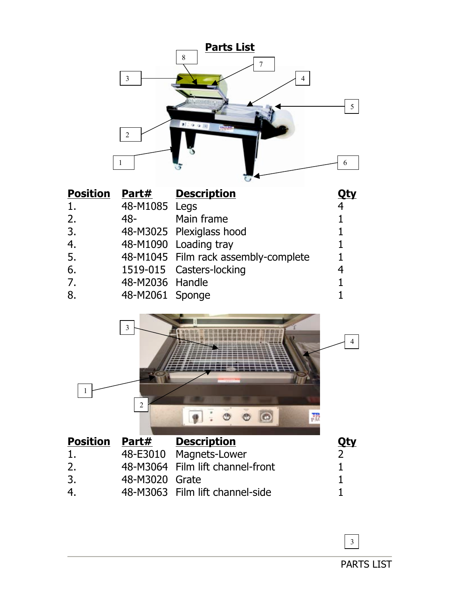|                 |                                       | <b>Parts List</b>                                             |                              |
|-----------------|---------------------------------------|---------------------------------------------------------------|------------------------------|
|                 | $\overline{3}$<br>$\overline{2}$<br>1 | 8<br>7<br>$\overline{\mathcal{A}}$<br>1.990                   | 5<br>6                       |
| <b>Position</b> | Part#                                 | <b>Description</b>                                            | <u>Qty</u>                   |
| 1.              | 48-M1085                              | Legs                                                          | 4                            |
| 2.              | 48-                                   | Main frame                                                    | $\mathbf{1}$                 |
| 3.              | 48-M3025                              | Plexiglass hood                                               | $\mathbf{1}$                 |
| 4.              | 48-M1090                              | Loading tray                                                  | 1                            |
| 5.              | 48-M1045                              | Film rack assembly-complete                                   | $\mathbf{1}$                 |
| 6.              |                                       | 1519-015 Casters-locking                                      | 4                            |
| 7.<br>8.        | 48-M2036<br>48-M2061 Sponge           | Handle                                                        | $\mathbf{1}$<br>$\mathbf{1}$ |
|                 | $\mathfrak{Z}$                        |                                                               | 4                            |
| 1               | $\overline{2}$                        | $\circledcirc$<br>$\circ$<br>職<br>$\circledcirc$<br>$\bullet$ |                              |
| <b>Position</b> | Part#                                 | <b>Description</b>                                            | <u>Qty</u>                   |
| 1.              | 48-E3010                              | Magnets-Lower                                                 | $\overline{2}$               |
| 2.              | 48-M3064                              | Film lift channel-front                                       | 1                            |
| 3.              | 48-M3020                              | Grate                                                         | $\mathbf{1}$                 |
| 4.              |                                       | 48-M3063 Film lift channel-side                               | 1                            |

PARTS LIST

3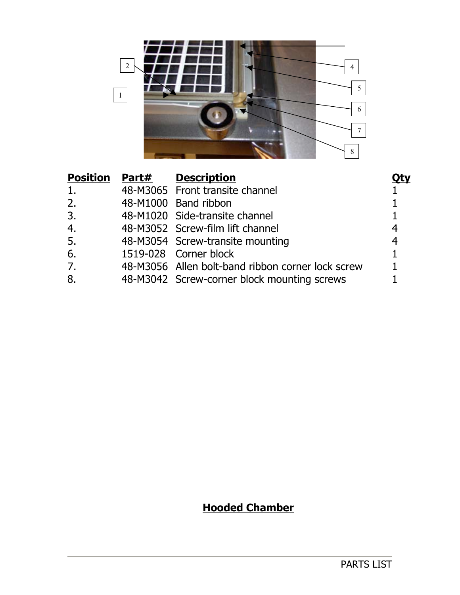

# **Hooded Chamber**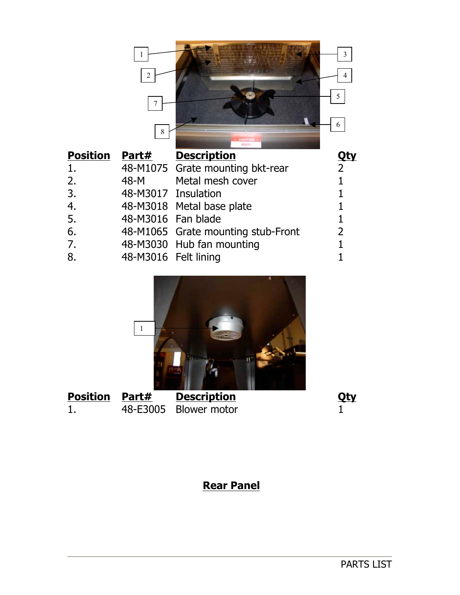|                 | 2<br>8               |                                    | 3<br>4<br>5<br>6 |
|-----------------|----------------------|------------------------------------|------------------|
| <b>Position</b> | Part#                | <b>Description</b>                 | Qty              |
| 1.              |                      | 48-M1075 Grate mounting bkt-rear   | $\overline{2}$   |
| 2.              | 48-M                 | Metal mesh cover                   |                  |
| 3.              | 48-M3017 Insulation  |                                    |                  |
| 4.              |                      | 48-M3018 Metal base plate          |                  |
| 5.              | 48-M3016 Fan blade   |                                    |                  |
| 6.              |                      | 48-M1065 Grate mounting stub-Front | $\overline{2}$   |
| 7.              |                      | 48-M3030 Hub fan mounting          |                  |
| 8.              | 48-M3016 Felt lining |                                    |                  |



| <b>Position Part#</b> | <b>Description</b>    | <u>Qty</u> |
|-----------------------|-----------------------|------------|
|                       | 48-E3005 Blower motor |            |

# **Rear Panel**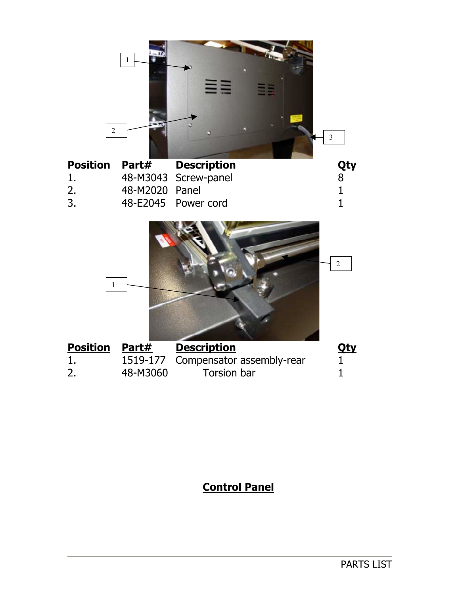

| <b>Position Part#</b> |                | <b>Description</b>   | Qty |
|-----------------------|----------------|----------------------|-----|
| <b>I</b> .            |                | 48-M3043 Screw-panel |     |
| 2.                    | 48-M2020 Panel |                      |     |
| 3.                    |                | 48-E2045 Power cord  |     |



| <b>Position Part#</b> |          | <b>Description</b>                 | <u>Qty</u> |
|-----------------------|----------|------------------------------------|------------|
| 1.                    |          | 1519-177 Compensator assembly-rear |            |
| 2.                    | 48-M3060 | Torsion bar                        |            |

# **Control Panel**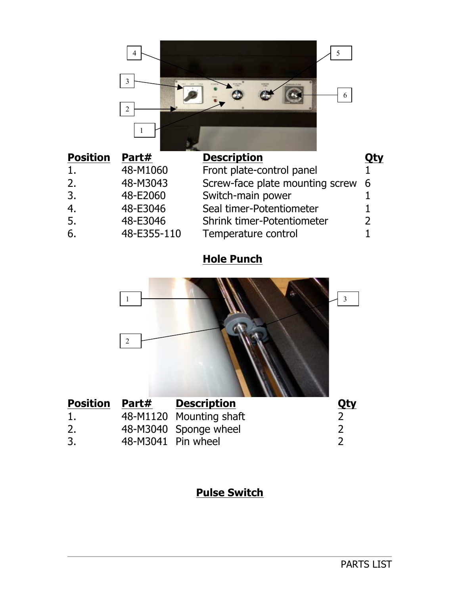|                 | 4<br>3<br>$\overline{2}$ | 5<br>6                            |     |
|-----------------|--------------------------|-----------------------------------|-----|
| <b>Position</b> | Part#                    | <b>Description</b>                | Qty |
|                 | 48-M1060                 | Front plate-control panel         |     |
| 2.              | 48-M3043                 | Screw-face plate mounting screw   | 6   |
| 3.              | 48-E2060                 | Switch-main power                 |     |
| 4.              | 48-E3046                 | Seal timer-Potentiometer          |     |
| 5.              | 48-E3046                 | <b>Shrink timer-Potentiometer</b> |     |
| 6.              | 48-E355-110              | Temperature control               |     |

# **Hole Punch**



# **Pulse Switch**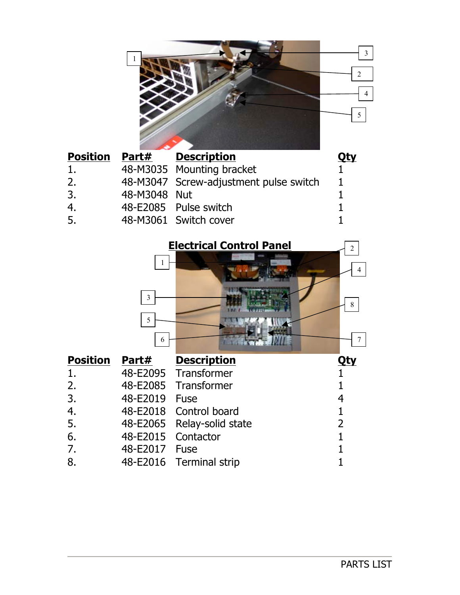

| <b>Part#</b> |                                                                                                                                                             |
|--------------|-------------------------------------------------------------------------------------------------------------------------------------------------------------|
|              |                                                                                                                                                             |
|              |                                                                                                                                                             |
|              |                                                                                                                                                             |
|              |                                                                                                                                                             |
|              |                                                                                                                                                             |
|              | <b>Description</b><br>48-M3035 Mounting bracket<br>48-M3047 Screw-adjustment pulse switch<br>48-M3048 Nut<br>48-E2085 Pulse switch<br>48-M3061 Switch cover |

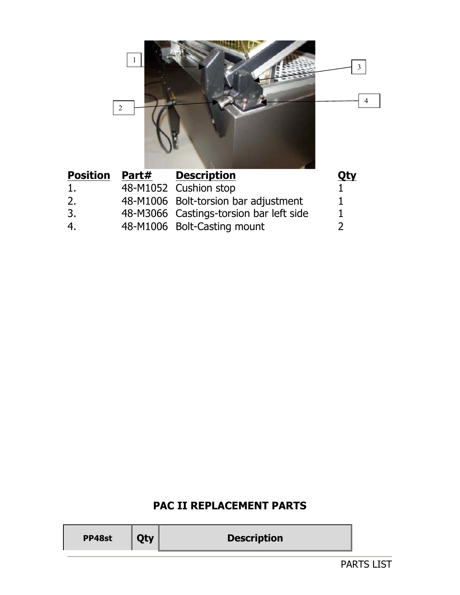

| <b>Position Part#</b> | <b>Description</b>                      | Qty |
|-----------------------|-----------------------------------------|-----|
| 1.                    | 48-M1052 Cushion stop                   |     |
| 2.                    | 48-M1006 Bolt-torsion bar adjustment    |     |
| 3.                    | 48-M3066 Castings-torsion bar left side |     |
| 4.                    | 48-M1006 Bolt-Casting mount             |     |

# **PAC II REPLACEMENT PARTS**

|--|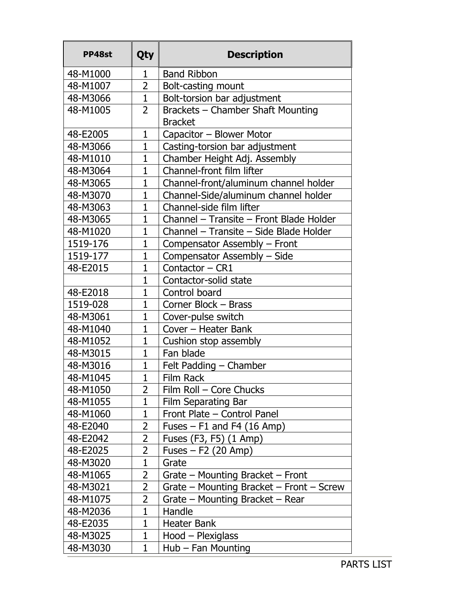| PP48st   | <b>Qty</b>     | <b>Description</b>                       |  |  |
|----------|----------------|------------------------------------------|--|--|
| 48-M1000 | 1              | <b>Band Ribbon</b>                       |  |  |
| 48-M1007 | $\overline{2}$ | Bolt-casting mount                       |  |  |
| 48-M3066 | $\mathbf{1}$   | Bolt-torsion bar adjustment              |  |  |
| 48-M1005 | $\overline{2}$ | Brackets - Chamber Shaft Mounting        |  |  |
|          |                | <b>Bracket</b>                           |  |  |
| 48-E2005 | $\mathbf{1}$   | Capacitor - Blower Motor                 |  |  |
| 48-M3066 | $\mathbf{1}$   | Casting-torsion bar adjustment           |  |  |
| 48-M1010 | $\overline{1}$ | Chamber Height Adj. Assembly             |  |  |
| 48-M3064 | $\mathbf{1}$   | Channel-front film lifter                |  |  |
| 48-M3065 | $\mathbf{1}$   | Channel-front/aluminum channel holder    |  |  |
| 48-M3070 | $\mathbf{1}$   | Channel-Side/aluminum channel holder     |  |  |
| 48-M3063 | $\mathbf{1}$   | Channel-side film lifter                 |  |  |
| 48-M3065 | $\mathbf{1}$   | Channel - Transite - Front Blade Holder  |  |  |
| 48-M1020 | $\mathbf{1}$   | Channel - Transite - Side Blade Holder   |  |  |
| 1519-176 | $\overline{1}$ | Compensator Assembly - Front             |  |  |
| 1519-177 | $\overline{1}$ | Compensator Assembly - Side              |  |  |
| 48-E2015 | $\mathbf{1}$   | Contactor - CR1                          |  |  |
|          | $\overline{1}$ | Contactor-solid state                    |  |  |
| 48-E2018 | $\mathbf{1}$   | Control board                            |  |  |
| 1519-028 | $\mathbf{1}$   | Corner Block - Brass                     |  |  |
| 48-M3061 | $\mathbf{1}$   | Cover-pulse switch                       |  |  |
| 48-M1040 | $\mathbf{1}$   | Cover - Heater Bank                      |  |  |
| 48-M1052 | $\mathbf{1}$   | Cushion stop assembly                    |  |  |
| 48-M3015 | $\mathbf{1}$   | Fan blade                                |  |  |
| 48-M3016 | $\mathbf{1}$   | Felt Padding - Chamber                   |  |  |
| 48-M1045 | $\mathbf{1}$   | Film Rack                                |  |  |
| 48-M1050 | $\overline{2}$ | Film Roll – Core Chucks                  |  |  |
| 48-M1055 | $\overline{1}$ | Film Separating Bar                      |  |  |
| 48-M1060 | $\mathbf 1$    | Front Plate - Control Panel              |  |  |
| 48-E2040 | $\overline{2}$ | Fuses $-$ F1 and F4 (16 Amp)             |  |  |
| 48-E2042 | $\overline{2}$ | Fuses (F3, F5) (1 Amp)                   |  |  |
| 48-E2025 | 2              | Fuses $-$ F2 (20 Amp)                    |  |  |
| 48-M3020 | $\mathbf{1}$   | Grate                                    |  |  |
| 48-M1065 | $\overline{2}$ | Grate $-$ Mounting Bracket $-$ Front     |  |  |
| 48-M3021 | $\overline{2}$ | Grate – Mounting Bracket – Front – Screw |  |  |
| 48-M1075 | $\overline{2}$ | Grate - Mounting Bracket - Rear          |  |  |
| 48-M2036 | $\mathbf{1}$   | Handle                                   |  |  |
| 48-E2035 | $\mathbf{1}$   | <b>Heater Bank</b>                       |  |  |
| 48-M3025 | $\mathbf{1}$   | Hood - Plexiglass                        |  |  |
| 48-M3030 | 1              | $Hub$ – Fan Mounting                     |  |  |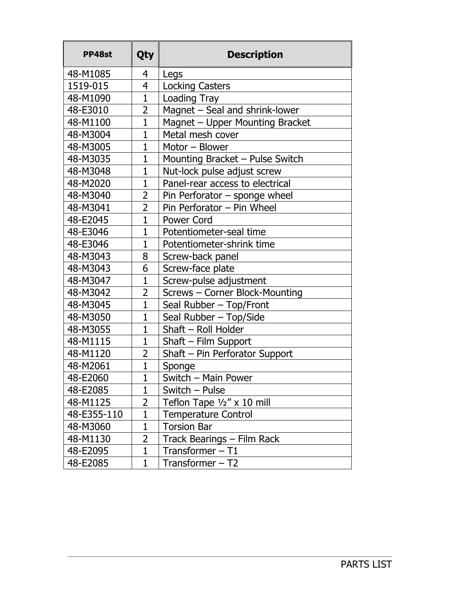| PP48st      | Qty            | <b>Description</b>              |  |
|-------------|----------------|---------------------------------|--|
| 48-M1085    | 4              | Legs                            |  |
| 1519-015    | 4              | <b>Locking Casters</b>          |  |
| 48-M1090    | $\overline{1}$ | Loading Tray                    |  |
| 48-E3010    | $\overline{2}$ | Magnet - Seal and shrink-lower  |  |
| 48-M1100    | $\mathbf{1}$   | Magnet - Upper Mounting Bracket |  |
| 48-M3004    | $\mathbf{1}$   | Metal mesh cover                |  |
| 48-M3005    | $\mathbf{1}$   | Motor - Blower                  |  |
| 48-M3035    | $\mathbf{1}$   | Mounting Bracket - Pulse Switch |  |
| 48-M3048    | $\mathbf{1}$   | Nut-lock pulse adjust screw     |  |
| 48-M2020    | $\mathbf{1}$   | Panel-rear access to electrical |  |
| 48-M3040    | $\overline{2}$ | Pin Perforator – sponge wheel   |  |
| 48-M3041    | 2              | Pin Perforator - Pin Wheel      |  |
| 48-E2045    | $\overline{1}$ | Power Cord                      |  |
| 48-E3046    | $\mathbf{1}$   | Potentiometer-seal time         |  |
| 48-E3046    | $\overline{1}$ | Potentiometer-shrink time       |  |
| 48-M3043    | 8              | Screw-back panel                |  |
| 48-M3043    | 6              | Screw-face plate                |  |
| 48-M3047    | $\mathbf{1}$   | Screw-pulse adjustment          |  |
| 48-M3042    | $\overline{2}$ | Screws - Corner Block-Mounting  |  |
| 48-M3045    | $\mathbf{1}$   | Seal Rubber - Top/Front         |  |
| 48-M3050    | $\mathbf{1}$   | Seal Rubber - Top/Side          |  |
| 48-M3055    | $\mathbf{1}$   | Shaft - Roll Holder             |  |
| 48-M1115    | $\mathbf{1}$   | $Shaft$ – Film Support          |  |
| 48-M1120    | $\overline{2}$ | Shaft - Pin Perforator Support  |  |
| 48-M2061    | $\mathbf{1}$   | Sponge                          |  |
| 48-E2060    | $\mathbf 1$    | Switch - Main Power             |  |
| 48-E2085    | $\mathbf{1}$   | Switch – Pulse                  |  |
| 48-M1125    | 2              | Teflon Tape 1/2" x 10 mill      |  |
| 48-E355-110 | $\mathbf 1$    | <b>Temperature Control</b>      |  |
| 48-M3060    | $\overline{1}$ | <b>Torsion Bar</b>              |  |
| 48-M1130    | 2              | Track Bearings - Film Rack      |  |
| 48-E2095    | $\mathbf{1}$   | Transformer $-$ T1              |  |
| 48-E2085    | $\mathbf 1$    | Transformer – T2                |  |